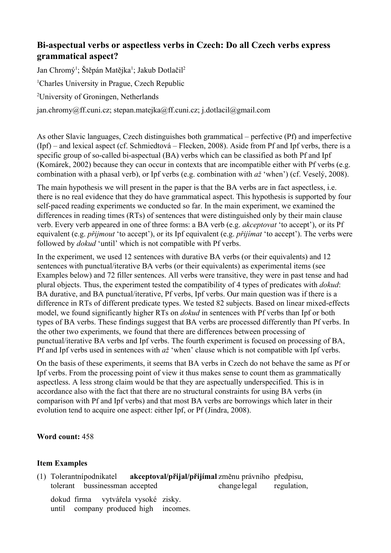## **Biaspectual verbs or aspectless verbs in Czech: Do all Czech verbs express grammatical aspect?**

Jan Chromý<sup>1</sup>; Štěpán Matějka<sup>1</sup>; Jakub Dotlačil<sup>2</sup> <sup>1</sup>Charles University in Prague, Czech Republic <sup>2</sup>University of Groningen, Netherlands jan.chromy@ff.cuni.cz; stepan.matejka@ff.cuni.cz; j.dotlacil@gmail.com

As other Slavic languages, Czech distinguishes both grammatical – perfective (Pf) and imperfective (Ipf) – and lexical aspect (cf. Schmiedtová – Flecken, 2008). Aside from Pf and Ipf verbs, there is a specific group of so-called bi-aspectual (BA) verbs which can be classified as both Pf and Ipf (Komárek, 2002) because they can occur in contexts that are incompatible either with Pf verbs (e.g. combination with a phasal verb), or Ipf verbs (e.g. combination with *až* 'when') (cf. Veselý, 2008).

The main hypothesis we will present in the paper is that the BA verbs are in fact aspectless, i.e. there is no real evidence that they do have grammatical aspect. This hypothesis is supported by four self-paced reading experiments we conducted so far. In the main experiment, we examined the differences in reading times (RTs) of sentences that were distinguished only by their main clause verb. Every verb appeared in one of three forms: a BA verb (e.g. *akceptovat* 'to accept'), or its Pf equivalent (e.g. *přijmout* 'to accept'), or its Ipf equivalent (e.g. *přijímat* 'to accept'). The verbs were followed by *dokud* 'until' which is not compatible with Pf verbs.

In the experiment, we used 12 sentences with durative BA verbs (or their equivalents) and 12 sentences with punctual/iterative BA verbs (or their equivalents) as experimental items (see Examples below) and 72 filler sentences. All verbs were transitive, they were in past tense and had plural objects. Thus, the experiment tested the compatibility of 4 types of predicates with *dokud*: BA durative, and BA punctual/iterative, Pf verbs, Ipf verbs. Our main question was if there is a difference in RTs of different predicate types. We tested 82 subjects. Based on linear mixed-effects model, we found significantly higher RTs on *dokud* in sentences with Pf verbs than Ipf or both types of BA verbs. These findings suggest that BA verbs are processed differently than Pf verbs. In the other two experiments, we found that there are differences between processing of punctual/iterative BA verbs and Ipf verbs. The fourth experiment is focused on processing of BA, Pf and Ipf verbs used in sentences with *až* 'when' clause which is not compatible with Ipf verbs.

On the basis of these experiments, it seems that BA verbs in Czech do not behave the same as Pf or Ipf verbs. From the processing point of view it thus makes sense to count them as grammatically aspectless. A less strong claim would be that they are aspectually underspecified. This is in accordance also with the fact that there are no structural constraints for using BA verbs (in comparison with Pf and Ipf verbs) and that most BA verbs are borrowings which later in their evolution tend to acquire one aspect: either Ipf, or Pf (Jindra, 2008).

## **Word count:** 458

## **Item Examples**

| (1) Tolerantní podnikatel |  |  |                                     | akceptoval/přijal/přijímal změnu právního předpisu, |                          |  |
|---------------------------|--|--|-------------------------------------|-----------------------------------------------------|--------------------------|--|
|                           |  |  | tolerant bussinessman accepted      |                                                     | change legal regulation, |  |
|                           |  |  | dokud firma vytvářela vysoké zisky. | until company produced high incomes.                |                          |  |